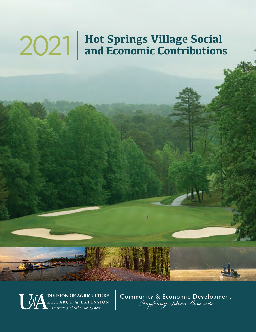# **Hot Springs Village Social** 2021 **and Economic Contributions**



Community & Economic Development<br>Strengthening Arkansas Communities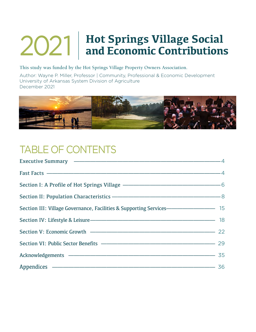# **Hot Springs Village Social** 2021 **and Economic Contributions**

#### **This study was funded by the Hot Springs Village Property Owners Association.**

Author: Wayne P. Miller, Professor | Community, Professional & Economic Development University of Arkansas System Division of Agriculture December 2021



## TABLE OF CONTENTS

| Executive Summary ———————————————————————————4                                       |  |
|--------------------------------------------------------------------------------------|--|
| Fast Facts —————————————————————————————————4                                        |  |
| Section I: A Profile of Hot Springs Village ———————————————————— 6                   |  |
|                                                                                      |  |
| Section III: Village Governance, Facilities & Supporting Services———————————————— 15 |  |
|                                                                                      |  |
| Section V: Economic Growth ———————————————————————————— 22                           |  |
| Section VI: Public Sector Benefits ———————————————————————————— 29                   |  |
| Acknowledgements - 35                                                                |  |
|                                                                                      |  |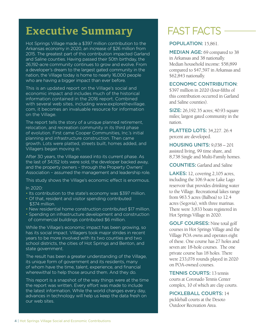## **Executive Summary**

Hot Springs Village made a \$397 million contribution to the Arkansas economy in 2020, an increase of \$26 million from 2015. The greatest part of this contribution impacted Garland and Saline counties. Having passed their 50th birthday, the 26,192-acre community continues to grow and evolve. From a developer's dream to the largest gated community in the nation, the Village today is home to nearly 16,000 people who are having a bigger impact than ever before.

This is an updated report on the Village's social and economic impact and includes much of the historical information contained in the 2016 report. Combined with several web sites, including www.explorethevillage. com, it becomes an invaluable resource for information on the Village.

The report tells the story of a unique planned retirement, relocation, and recreation community in its third phase of evolution. First came Cooper Communities, Inc.'s initial planning and infrastructure construction. Then came growth. Lots were platted, streets built, homes added, and Villagers began moving in.

After 30 years, the Village eased into its current phase. As the last of 34,152 lots were sold, the developer backed away, and the property owners – through the Property Owners' Association – assumed the management and leadership role.

This study shows the Village's economic effect is enormous.

#### In 2020:

- Its contribution to the state's economy was \$397 million.
- Of that, resident and visitor spending contributed \$374 million.
- New residential home construction contributed \$17 million.
- Spending on infrastructure development and construction of commercial buildings contributed \$6 million.

While the Village's economic impact has been growing, so has its social impact. Villagers took major strides in recent years to be more involved with its two counties and two school districts, the cities of Hot Springs and Benton, and state government.

The result has been a greater understanding of the Village, its unique form of government and its residents, many of whom have the time, talent, experience, and financial wherewithal to help those around them. And they do.

This report is a snapshot of the way things were at the time the report was written. Every effort was made to include the latest information. While the world changes every day, advances in technology will help us keep the data fresh on our web sites.

## FAST FACTS

#### POPULATION: 15,861.

MEDIAN AGE: 69 compared to 38 in Arkansas and 38 nationally. Median household income: \$58,899 compared to \$47,597 in Arkansas and \$62,843 nationally.

#### ECONOMIC CONTRIBUTION:

\$397 million in 2020 (four-fifths of this contribution occurred in Garland and Saline counties).

SIZE: 26,192.35 acres; 40.93 square miles; largest gated community in the nation.

PLATTED LOTS: 34,227. 26.4 percent are developed.

HOUSING UNITS: 9,038 – 201 assisted living, 99 time share, and 8,738 Single and Multi-Family homes.

COUNTIES: Garland and Saline

LAKES: 12, covering 2,105 acres, including the 106.9-acre Lake Lago reservoir that provides drinking water to the Village. Recreational lakes range from 963.5 acres (Balboa) to 12.4 acres (Segovia), with three marinas. There were 3,833 boats registered in Hot Springs Village in 2020.

GOLF COURSES: Nine total golf courses in Hot Springs Village and the Village POA owns and operates eight of these. One course has 27 holes and seven are 18-hole courses. The one private course has 18 holes. There were 233,076 rounds played in 2020 on POA-owned courses.

TENNIS COURTS: 13 tennis courts at Coronado Tennis Center complex, 10 of which are clay courts.

#### PICKLEBALL COURTS: 14

pickleball courts at the Desoto Outdoor Recreation Area.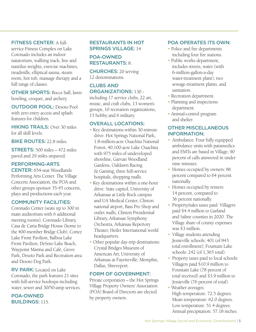#### FITNESS CENTER: A full-

service Fitness Complex on Lake Coronado includes an indoor natatorium, walking track, free and nautilus weights, exercise machines, treadmills, elliptical sauna, steam room, hot tub, massage therapy and a full range of classes.

OTHER SPORTS: Bocce ball, lawn bowling, croquet, and archery.

OUTDOOR POOL: Desoto Pool with zero entry access and splash features for children.

HIKING TRAILS: Over 30 miles for all skill levels.

BIKE ROUTES: 22.8 miles.

STREETS: 500 miles – 472 miles paved and 29 miles unpaved.

#### PERFORMING-ARTS

CENTER: 654-seat Woodlands Performing Arts Center. The Village Concerts Association, the POA and other groups sponsor 35-45 concerts, plays and productions each year.

#### COMMUNITY FACILITIES:

Coronado Center (seats up to 300 in main auditorium with 6 additional meeting rooms), Coronado Library, Casa de Carta Bridge House (home to the 400-member Bridge Club), Cortez Lake Front Pavilion, Balboa Lake Front Pavilion, DeSoto Lake Beach, Waypoint Marina and Café, Grove Park, Desoto Park and Recreation area and Desoto Dog Park.

RV PARK: Located on Lake Coronado, the park features 21 sites with full-service hookups including water, sewer and 30/50-amp services.

POA-OWNED BUILDINGS: 115.

#### RESTAURANTS IN HOT SPRINGS VILLAGE: 14

#### POA-OWNED RESTAURANTS: 8.

CHURCHES: 20 serving 12 denominations.

#### CLUBS AND ORGANIZATIONS: 130 -

including 17 service clubs, 22 art, music, and craft clubs, 13 women's groups, 10 recreation organizations, 15 hobby and 6 military.

#### OVERALL LOCATIONS:

- Key destinations within 30-minute drive: Hot Springs National Park, 1.8-million-acre Ouachita National Forest, 40,100-acre Lake Ouachita with 975 miles of undeveloped shoreline, Garvan Woodland Gardens, Oaklawn Racing & Gaming, three full-service hospitals, shopping malls.
- Key destinations within a one-hour drive: State capitol, University of Arkansas at Little Rock campus and UA Medical Center, Clinton national airport, Bass Pro Shop and outlet malls, Clinton Presidential Library, Arkansas Symphony Orchestra, Arkansas Repertory Theater, Heifer International world headquarters.
- Other popular day-trip destinations: Crystal Bridges Museum of American Art; University of Arkansas at Fayetteville; Memphis, Dallas, Shreveport.

#### FORM OF GOVERNMENT:

Private corporation – the Hot Springs Village Property Owners' Association (POA) Board of Directors are elected by property owners.

#### POA OPERATES ITS OWN:

- Police and fire departments including four fire stations.
- Public works department, includes streets, water (with 6-million-gallon-a-day water-treatment plant), two sewage-treatment plants, and sanitation.
- Recreation department.
- Planning and inspections department.
- Animal-control program and shelter.

#### OTHER MISCELLANEOUS INFORMATION:

- Ambulance: Four fully equipped ambulance units with paramedics and EMTs are based in Village; 90 percent of calls answered in under nine minutes.
- Homes occupied by owners: 86 percent compared to 64 percent nationally.
- Homes occupied by renters: 14 percent, compared to 36 percent nationally.
- Property/sales taxes paid: Villagers paid \$4.4 million to Garland and Saline counties in 2020. The Village share of county expenses was \$3 million.
- Village students attending Jessieville schools: 401 (of 843 total enrollment); Fountain Lake schools: 242 (of 1,365 total).
- Property taxes paid to local schools: Villagers paid \$10.9 million to Fountain Lake (78 percent of total received) and \$3.9 million to Jessieville (76 percent of total).
- Weather averages: High temperature: 72.5 degrees. Mean temperature: 62.0 degrees. Low temperature: 51.4 degrees. Annual precipitation: 57.18 inches.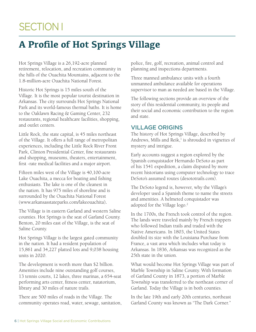## SECTION I

## **A Profile of Hot Springs Village**

Hot Springs Village is a 26,192-acre planned retirement, relocation, and recreation community in the hills of the Ouachita Mountains, adjacent to the 1.8-million-acre Ouachita National Forest.

Historic Hot Springs is 15 miles south of the Village. It is the most popular tourist destination in Arkansas. The city surrounds Hot Springs National Park and its world-famous thermal baths. It is home to the Oaklawn Racing & Gaming Center, 232 restaurants, regional healthcare facilities, shopping, and outlet centers.

Little Rock, the state capital, is 45 miles northeast of the Village. It offers a full range of metropolitan experiences, including the Little Rock River Front Park, Clinton Presidential Center, fine restaurants and shopping, museums, theaters, entertainment, first -rate medical facilities and a major airport.

Fifteen miles west of the Village is 40,100-acre Lake Ouachita, a mecca for boating and fishing enthusiasts. The lake is one of the cleanest in the nation. It has 975 miles of shoreline and is surrounded by the Ouachita National Forest (www.arkansasstateparks.com/lakeouachita)**.** 

The Village is in eastern Garland and western Saline counties. Hot Springs is the seat of Garland County. Benton, 20 miles east of the Village, is the seat of Saline County.

Hot Springs Village is the largest gated community in the nation. It had a resident population of 15,861 and 34,227 platted lots and 9,038 housing units in 2020.

The development is worth more than \$2 billion. Amenities include nine outstanding golf courses, 13 tennis courts, 12 lakes, three marinas, a 654-seat performing arts center, fitness center, natatorium, library and 30 miles of nature trails.

There are 500 miles of roads in the Village. The community operates road, water, sewage, sanitation, police, fire, golf, recreation, animal control and planning and inspections departments.

Three manned ambulance units with a fourth unmanned ambulance available for operations supervisor to man as needed are based in the Village.

The following sections provide an overview of the story of this residential community, its people and their social and economic contribution to the region and state.

#### VILLAGE ORIGINS

The history of Hot Springs Village, described by Andrews, Mills and Reik,<sup>1</sup> is shrouded in vignettes of mystery and intrigue.

Early accounts suggest a region explored by the Spanish conquistador Hernando DeSoto as part of his 1541 expedition, a claim disputed by more recent historians using computer technology to trace DeSoto's assumed routes (desototrails.com).

The DeSoto legend is, however, why the Village's developer used a Spanish theme to name the streets and amenities. A helmeted conquistador was adopted for the Village logo.<sup>2</sup>

In the 1700s, the French took control of the region. The lands were traveled mainly by French trappers who followed Indian trails and traded with the Native Americans. In 1803, the United States doubled its size with the Louisiana Purchase from France, a vast area which includes what today is Arkansas. In 1836, Arkansas was recognized as the 25th state in the union.

What would become Hot Springs Village was part of Marble Township in Saline County. With formation of Garland County in 1873, a portion of Marble Township was transferred to the northeast corner of Garland. Today the Village is in both counties.

In the late 19th and early 20th centuries, northeast Garland County was known as "The Dark Corner."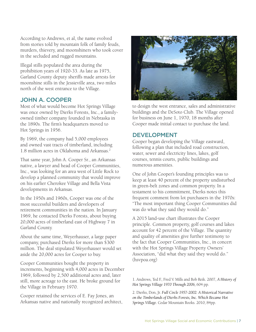According to Andrews, et al, the name evolved from stories told by mountain folk of family feuds, murders, thievery, and moonshiners who took cover in the secluded and rugged mountains.

Illegal stills populated the area during the prohibition years of 1920-33. As late as 1975, Garland County deputy sheriffs made arrests for moonshine stills in the Jessieville area, two miles north of the west entrance to the Village.

#### JOHN A. COOPER

Most of what would become Hot Springs Village was once owned by Dierks Forests, Inc., a familyowned timber company founded in Nebraska in the 1890s. The firm's headquarters moved to Hot Springs in 1956.

By 1969, the company had 5,000 employees and owned vast tracts of timberland, including 1.8 million acres in Oklahoma and Arkansas.2

That same year, John A. Cooper Sr., an Arkansas native, a lawyer and head of Cooper Communities, Inc., was looking for an area west of Little Rock to develop a planned community that would improve on his earlier Cherokee Village and Bella Vista developments in Arkansas.

In the 1950s and 1960s, Cooper was one of the most successful builders and developers of retirement communities in the nation. In January 1969, he contacted Dierks Forests, about buying 20,000 acres of timberland east of Highway 7 in Garland County.

About the same time, Weyerhauser, a large paper company, purchased Dierks for more than \$300 million. The deal stipulated Weyerhauser would set aside the 20,000 acres for Cooper to buy.

Cooper Communities bought the property in increments, beginning with 4,000 acres in December 1969, followed by 2,500 additional acres and, later still, more acreage to the east. He broke ground for the Village in February 1970.

Cooper retained the services of E. Fay Jones, an Arkansas native and nationally recognized architect,



to design the west entrance, sales and administrative buildings and the DeSoto Club. The Village opened for business on June 1, 1970, 18 months after Cooper made initial contact to purchase the land.

#### DEVELOPMENT

Cooper began developing the Village eastward, following a plan that included road construction, water, sewer and electricity lines, lakes, golf courses, tennis courts, public buildings and numerous amenities.

One of John Cooper's founding principles was to keep at least 40 percent of the property undisturbed in green-belt zones and common property. In a testament to his commitment, Dierks notes this frequent comment from lot purchasers in the 1970s: "The most important thing Cooper Communities did was do what they said they would do."

A 2015 land-use chart illustrates the Cooper principle. Common property, golf courses and lakes account for 42 percent of the Village. The quantity and quality of amenities give further testimony to the fact that Cooper Communities, Inc., in concert with the Hot Springs Village Property Owners' Association, "did what they said they would do." (hsvpoa.org)

1. Andrews, Ted F., Fred V. Mills and Bob Reik. 2007, *A History of Hot Springs Village 1970 Through 2006,* 604 pp.

2. Dierks, Don, Jr. *Full Circle 1957-2002: A Historical Narrative on the Timberlands of Dierks Forests, Inc. Which Became Hot Springs Village.* Cedar Mountain Books. 2010, 84pp.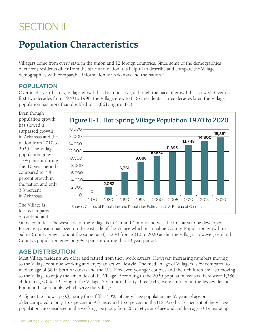## **SECTION II**

## **Population Characteristics**

Villagers come from every state in the union and 12 foreign countries. Since some of the demographics of current residents differ from the state and nation it is helpful to describe and compare the Village demographics with comparable information for Arkansas and the nation.<sup>2</sup>

#### POPULATION

Over its 45-year history, Village growth has been positive, although the pace of growth has slowed. Over its first two decades from 1970 to 1990, the Village grew to 6,361 residents. Three decades later, the Village population has more than doubled to 15,861(Figure II-1)

Even though population growth has slowed it surpassed growth in Arkansas and the nation from 2010 to 2020. The Village population grew 15.4 percent during this 10-year period compared to 7.4 percent growth in the nation and only 3.3 percent in Arkansas.



#### Figure II-1. Hot Spring Village Population 1970 to 2020

The Village is located in parts of Garland and

Saline counties. The west side of the Village is in Garland County and was the first area to be developed. Recent expansion has been on the east side of the Village which is in Saline County. Population growth in Saline County grew at about the same rate (15.2%) from 2010 to 2020 as did the Village. However, Garland County's population grew only 4.3 percent during this 10-year period.

#### AGE DISTRIBUTION

Most Village residents are older and retired from their work careers. However, increasing numbers moving to the Village continue working and enjoy an active lifestyle. The median age of Villagers is 69 compared to median age of 38 in both Arkansas and the U.S. However, younger couples and their children are also moving to the Village to enjoy the amenities of the Village. According to the 2020 population census there were 1,586 children ages 0 to 19 living in the Village. Six hundred forty-three (643) were enrolled in the Jessieville and Fountain Lake schools, which serve the Village.

As figure II-2 shows (pg.9), nearly three-fifths (59%) of the Village population are 65 years of age or older compared to only 16.7 percent in Arkansas and 15.6 percent in the U.S. Another 31 percent of the Village population are considered in the working age group from 20 to 64 years of age and children ages 0-19 make up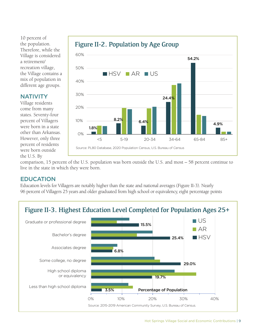10 percent of the population. Therefore, while the Village is considered a retirement/ recreation village, the Village contains a mix of population in different age groups.

60%

**NATIVITY** Village residents come from many

#### states. Seventy-four percent of Villagers were born in a state other than Arkansas. However, only three percent of residents 1.8%  $8.2\%$  6.4% 24.4% 54.2% 4.9% 0% 10% 20% 30% 40% 50% <5 5-19 20-34 34-64 65-84 85+ **HSV AR US** Source: PL80 Database, 2020 Population Census, U.S. Bureau of Census

#### Figure II-2. Population by Age Group

comparison, 15 percent of the U.S. population was born outside the U.S. and most – 58 percent continue to live in the state in which they were born.

#### EDUCATION

were born outside

the U.S. By

Education levels for Villagers are notably higher than the state and national averages (Figure II-3). Nearly 96 percent of Villagers 25 years and older graduated from high school or equivalency, eight percentage points

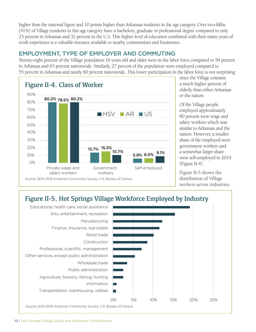higher than the national figure and 10 points higher than Arkansas residents in the age category. Over two-fifths (41%) of Village residents in this age category have a bachelors, graduate or professional degree compared to only 23 percent in Arkansas and 32 percent in the U.S. This higher level of education combined with their many years of work experience is a valuable resource available to nearby communities and businesses.

#### EMPLOYMENT, TYPE OF EMPLOYER AND COMMUTING

Twenty-eight percent of the Village population 16 years old and older were in the labor force compared to 58 percent in Arkansas and 63 percent nationwide. Similarly, 27 percent of the population were employed compared to 55 percent in Arkansas and nearly 60 percent nationwide. This lower participation in the labor force is not surprising



since the Village contains a much higher percent of elderly than either Arkansas or the nation.

Of the Village people employed approximately 80 percent were wage and salary workers which was similar to Arkansas and the nation. However, a smaller share of the employed were government workers and a somewhat larger share were self-employed in 2019 (Figure II-4).

Figure II-5 shows the distribution of Village workers across industries.

### Figure II-5. Hot Springs Village Workforce Employed by Industry

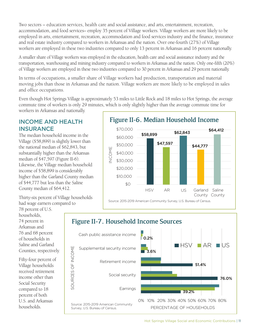Two sectors – education services, health care and social assistance, and arts, entertainment, recreation, accommodation, and food services– employ 35 percent of Village workers. Village workers are more likely to be employed in arts, entertainment, recreation, accommodation and food services industry and the finance, insurance and real estate industry compared to workers in Arkansas and the nation. Over one-fourth (27%) of Village workers are employed in these two industries compared to only 13 percent in Arkansas and 16 percent nationally.

A smaller share of Village workers was employed in the education, health care and social assistance industry and the transportation, warehousing and mining industry compared to workers in Arkansas and the nation. Only one-fifth (20%) of Village workers are employed in these two industries compared to 30 percent in Arkansas and 29 percent nationally.

In terms of occupations, a smaller share of Village workers had production, transportation and material moving jobs than those in Arkansas and the nation. Village workers are more likely to be employed in sales and office occupations.

Even though Hot Springs Village is approximately 53 miles to Little Rock and 18 miles to Hot Springs, the average commute time of workers is only 29 minutes, which is only slightly higher than the average commute time for workers in Arkansas and nationally.

#### INCOME AND HEALTH **INSURANCE**

The median household income in the Village (\$58,899) is slightly lower than the national median of \$62,843, but substantially higher than the Arkansas median of \$47,597 (Figure II-6). Likewise, the Village median household income of \$58,899 is considerably higher than the Garland County median of \$44,777 but less than the Saline County median of \$64,412.

Thirty-six percent of Village households

had wage earners compared to



## 78 percent of U.S.

households, 74 percent in Arkansas and 76 and 68 percent of households in Saline and Garland Counties, respectively.

Fifty-four percent of Village households received retirement income other than Social Security compared to 18 percent of both U.S. and Arkansas households.



Hot Springs Village Social and Economic Contributions | 11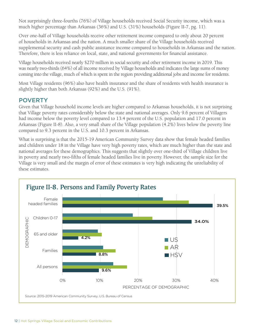Not surprisingly three-fourths (76%) of Village households received Social Security income, which was a much higher percentage than Arkansas (36%) and U.S. (31%) households (Figure II-7, pg. 11).

Over one-half of Village households receive other retirement income compared to only about 20 percent of households in Arkansas and the nation. A much smaller share of the Village households received supplemental security and cash public assistance income compared to households in Arkansas and the nation. Therefore, there is less reliance on local, state, and national governments for financial assistance.

Village households received nearly \$270 million in social security and other retirement income in 2019. This was nearly two-thirds (64%) of all income received by Village households and indicates the large sums of money coming into the village, much of which is spent in the region providing additional jobs and income for residents.

Most Village residents (96%) also have health insurance and the share of residents with health insurance is slightly higher than both Arkansas (92%) and the U.S. (91%).

#### POVERTY

Given that Village household income levels are higher compared to Arkansas households, it is not surprising that Village poverty rates considerably below the state and national averages. Only 9.6 percent of Villagers had income below the poverty level compared to 13.4 percent of the U.S. population and 17.0 percent in Arkansas (Figure II-8). Also, a very small share of the Village population (4.2%) lives below the poverty line compared to 9.3 percent in the U.S. and 10.3 percent in Arkansas.

What is surprising is that the 2015-19 American Community Survey data show that female headed families and children under 18 in the Village have very high poverty rates, which are much higher than the state and national averages for these demographics. This suggests that slightly over one-third of Village children live in poverty and nearly two-fifths of female headed families live in poverty. However, the sample size for the Village is very small and the margin of error of these estimates is very high indicating the unreliability of these estimates.

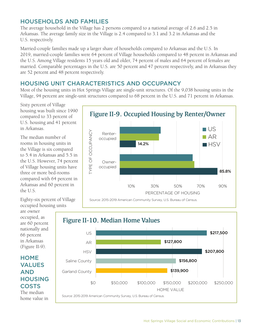#### HOUSEHOLDS AND FAMILIES

The average household in the Village has 2 persons compared to a national average of 2.6 and 2.5 in Arkansas. The average family size in the Village is 2.4 compared to 3.1 and 3.2 in Arkansas and the U.S. respectively.

Married-couple families made up a larger share of households compared to Arkansas and the U.S. In 2019, married-couple families were 64 percent of Village households compared to 48 percent in Arkansas and the U.S. Among Village residents 15 years old and older, 74 percent of males and 64 percent of females are married. Comparable percentages in the U.S. are 50 percent and 47 percent respectively, and in Arkansas they are 52 percent and 48 percent respectively.

#### HOUSING UNIT CHARACTERISTICS AND OCCUPANCY

Source: 2015-2019 American Community Survey, U.S. Bureau of Census.

Most of the housing units in Hot Springs Village are single-unit structures. Of the 9,038 housing units in the Village, 94 percent are single-unit structures compared to 68 percent in the U.S. and 71 percent in Arkansas.

Sixty percent of Village housing was built since 1990 compared to 33 percent of U.S. housing and 41 percent in Arkansas.

The median number of rooms in housing units in the Village is six compared to 5.4 in Arkansas and 5.5 in the U.S. However, 74 percent of Village housing units have three or more bed-rooms compared with 64 percent in Arkansas and 60 percent in the U.S.



Eighty-six percent of Village occupied housing units

are owner occupied, as are 60 percent nationally and 66 percent in Arkansas (Figure II-9).

#### **HOME** VALUES AND **HOUSING COSTS**

The median home value in

\$139,900

\$127,800

\$0 \$50,000 \$100,000 \$150,000 \$200,000 \$250,000

HOME VALUE

\$156,800

\$207,800

\$217,500

Figure II-10. Median Home Values Saline County

Garland County

**HSV** 

AR

US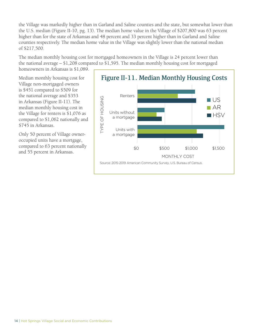the Village was markedly higher than in Garland and Saline counties and the state, but somewhat lower than the U.S. median (Figure II-10, pg. 13). The median home value in the Village of \$207,800 was 63 percent higher than for the state of Arkansas and 48 percent and 33 percent higher than in Garland and Saline counties respectively. The median home value in the Village was slightly lower than the national median of \$217,500.

The median monthly housing cost for mortgaged homeowners in the Village is 24 percent lower than the national average – \$1,208 compared to \$1,595. The median monthly housing cost for mortgaged homeowners in Arkansas is \$1,089.

Median monthly housing cost for Village non-mortgaged owners is \$451 compared to \$509 for the national average and \$353 in Arkansas (Figure II-11). The median monthly housing cost in the Village for renters is \$1,076 as compared to \$1,062 nationally and \$745 in Arkansas.

Only 50 percent of Village owneroccupied units have a mortgage, compared to 63 percent nationally and 55 percent in Arkansas.

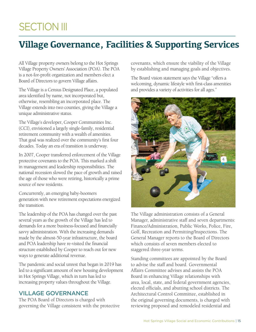## **SECTION III**

## **Village Governance, Facilities & Supporting Services**

All Village property owners belong to the Hot Springs Village Property Owners' Association (POA). The POA is a not-for-profit organization and members elect a Board of Directors to govern Village affairs.

The Village is a Census Designated Place, a populated area identified by name, not incorporated but, otherwise, resembling an incorporated place. The Village extends into two counties, giving the Village a unique administrative status.

The Village's developer, Cooper Communities Inc. (CCI), envisioned a largely single-family, residential retirement community with a wealth of amenities. That goal was realized over the community's first four decades. Today an era of transition is underway.

In 2007, Cooper transferred enforcement of the Village protective covenants to the POA. This marked a shift in management and leadership responsibilities. The national recession slowed the pace of growth and raised the age of those who were retiring, historically a prime source of new residents.

Concurrently, an emerging baby-boomers generation with new retirement expectations energized the transition.

The leadership of the POA has changed over the past several years as the growth of the Village has led to demands for a more business-focused and financially savvy administration. With the increasing demands made by the almost-50-year infrastructure, the board and POA leadership have re-visited the financial structure established by Cooper to reach out for new ways to generate additional revenue.

The pandemic and social unrest that began in 2019 has led to a significant amount of new housing development in Hot Springs Village, which in turn has led to increasing property values throughout the Village.

#### VILLAGE GOVERNANCE

The POA Board of Directors is charged with governing the Village consistent with the protective covenants, which ensure the viability of the Village by establishing and managing goals and objectives.

The Board vision statement says the Village "offers a welcoming, dynamic lifestyle with first-class amenities and provides a variety of activities for all ages."



The Village administration consists of a General Manager, administrative staff and seven departments: Finance/Administration, Public Works, Police, Fire, Golf, Recreation and Permitting/Inspections. The General Manager reports to the Board of Directors which consists of seven members elected to staggered three-year terms.

Standing committees are appointed by the Board to advise the staff and board. Governmental Affairs Committee advises and assists the POA Board in enhancing Village relationships with area, local, state, and federal government agencies, elected officials, and abutting school districts. The Architectural Control Committee, established in the original governing documents, is charged with reviewing proposed and remodeled residential and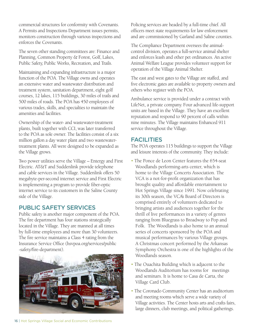commercial structures for conformity with Covenants. A Permits and Inspections Department issues permits, monitors construction through various inspections and enforces the Covenants.

The seven other standing committees are: Finance and Planning, Common Property & Forest, Golf, Lakes, Public Safety, Public Works, Recreation, and Trails.

Maintaining and expanding infrastructure is a major function of the POA. The Village owns and operates an extensive water and wastewater distribution and treatment system, sanitation department, eight golf courses, 12 lakes, 115 buildings, 30 miles of trails and 500 miles of roads. The POA has 450 employees of various trades, skills, and specialties to maintain the amenities and facilities.

Ownership of the water- and wastewater-treatment plants, built together with CCI, was later transferred to the POA as sole owner. The facilities consist of a six million gallon a day water plant and two wastewatertreatment plants. All were designed to be expanded as the Village grows.

Two power utilities serve the Village – Entergy and First Electric. AT&T and Suddenlink provide telephone and cable services in the Village. Suddenlink offers 50 megabyte-per-second internet service and First Electric is implementing a program to provide fiber-optic internet service to its customers in the Saline County side of the Village.

#### PUBLIC SAFETY SERVICES

Public safety is another major component of the POA. The fire department has four stations strategically located in the Village. They are manned at all times by full-time employees and more than 30 volunteers. The fire service maintains a Class 4 rating from the Insurance Service Office (hsvpoa.org/services/public -safety/fire-department).



Policing services are headed by a full-time chief. All officers meet state requirements for law enforcement and are commissioned by Garland and Saline counties.

The Compliance Department oversees the animalcontrol division, operates a full-service animal shelter and enforces leash and other pet ordinances. An active Animal Welfare League provides volunteer support for operation of the Village Animal Shelter.

The east and west gates to the Village are staffed, and five electronic gates are available to property owners and others who register with the POA.

Ambulance service is provided under a contract with LifeNet, a private company. Four advanced life-support units are based in the Village. They have an excellent reputation and respond to 90 percent of calls within nine minutes. The Village maintains Enhanced 911 service throughout the Village.

#### FACILITIES

The POA operates 115 buildings to support the Village and leisure interests of the community. They include:

- The Ponce de Leon Center features the 654-seat Woodlands performing-arts center, which is home to the Village Concerts Association. The VCA is a not-for-profit organization that has brought quality and affordable entertainment to Hot Springs Village since 1991. Now celebrating its 30th season, the VCA's Board of Directors is comprised entirely of volunteers dedicated to bringing artists and audiences together for the thrill of live performances in a variety of genres ranging from Bluegrass to Broadway to Pop and Folk. The Woodlands is also home to an annual series of concerts sponsored by the POA and musical performances by various Village groups. A Christmas concert performed by the Arkansas Symphony Orchestra is one of the highlights of the Woodlands season.
- The Ouachita Building which is adjacent to the Woodlands Auditorium has rooms for meetings and seminars. It is home to Casa de Carta, the Village Card Club.
- The Coronado Community Center has an auditorium and meeting rooms which serve a wide variety of Village activities. The Center hosts arts and crafts fairs, large dinners, club meetings, and political gatherings.

16 | Hot Springs Village Social and Economic Contributions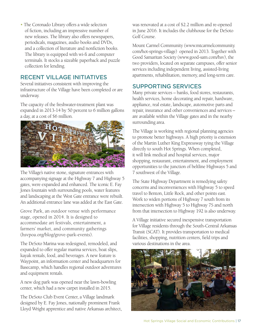• The Coronado Library offers a wide selection of fiction, including an impressive number of new releases. The library also offers newspapers, periodicals, magazines, audio books and DVDs, and a collection of literature and nonfiction books. The library is equipped with wi-fi and computer terminals. It stocks a sizeable paperback and puzzle collection for lending.

#### RECENT VILLAGE INITIATIVES

Several initiatives consistent with improving the infrastructure of the Village have been completed or are underway.

The capacity of the freshwater-treatment plant was expanded in 2013-14 by 50 percent to 6 million gallons a day, at a cost of \$6 million.



The Village's native stone, signature entrances with accompanying signage at the Highway 7 and Highway 5 gates, were expanded and enhanced. The iconic E. Fay Jones fountain with surrounding pools, water features and landscaping at the West Gate entrance were rebuilt. An additional entrance lane was added at the East Gate.

Grove Park, an outdoor venue with performance stage, opened in 2014. It is designed to accommodate art festivals, entertainment, a farmers' market, and community gatherings (hsvpoa.org/blog/grove-park-events).

The DeSoto Marina was redesigned, remodeled, and expanded to offer regular marina services, boat slips, kayak rentals, food, and beverages. A new feature is Waypoint, an information center and headquarters for Basecamp, which handles regional outdoor adventures and equipment rentals.

A new dog park was opened near the lawn-bowling center, which had a new carpet installed in 2015.

The DeSoto Club Event Center, a Village landmark designed by E. Fay Jones, nationally prominent Frank Lloyd Wright apprentice and native Arkansas architect, was renovated at a cost of \$2.2 million and re-opened in June 2016. It includes the clubhouse for the DeSoto Golf Course.

Mount Carmel Community (www.mtcarmelcommunity. com/hot-springs-village) opened in 2013. Together with Good Samaritan Society (www.good-sam.com/hsv), the two providers, located on separate campuses, offer senior services including independent living, assisted-living apartments, rehabilitation, memory, and long-term care.

#### SUPPORTING SERVICES

Many private services – banks, food stores, restaurants, health services, home decorating and repair, hardware, appliance, real estate, landscape, automotive parts and repair, insurance and other conveniences and services – are available within the Village gates and in the nearby surrounding area.

The Village is working with regional planning agencies to promote better highways. A high priority is extension of the Martin Luther King Expressway tying the Village directly to south Hot Springs. When completed, it will link medical and hospital services, major shopping, restaurant, entertainment, and employment opportunities to the junction of beltline Highways 5 and 7 southwest of the Village.

The State Highway Department is remedying safety concerns and inconveniences with Highway 5 to speed travel to Benton, Little Rock, and other points east. Work to widen portions of Highway 7 south from its intersection with Highway 5 to Highway 7S and north from that intersection to Highway 192 is also underway.

A Village initiative secured inexpensive transportation for Village residents through the South-Central Arkansas Transit (SCAT). It provides transportation to medical facilities, shopping, nutrition centers, field trips and various destinations in the area.

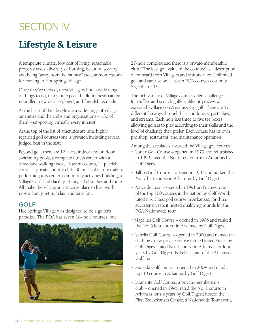## **SECTION IV**

## **Lifestyle & Leisure**

A temperate climate, low cost of living, reasonable property taxes, diversity of housing, beautiful scenery and being "away from the rat race" are common reasons for moving to Hot Springs Village.

Once they've moved, most Villagers find a wide range of things to do, many unexpected. Old interests can be rekindled, new ones explored, and friendships made.

At the heart of the lifestyle are a wide range of Village amenities and the clubs and organizations – 130 of them – supporting virtually every interest.

At the top of the list of amenities are nine highly regarded golf courses (one is private), including several judged best in the state.

Beyond golf, there are 12 lakes, indoor and outdoor swimming pools, a complete fitness center with a three-lane walking track, 13 tennis courts, 14 pickleball courts, a private country club, 30 miles of nature trails, a performing-arts center, community activities building, a Village Card Club facility, library, 20 churches and more. All make the Village an attractive place to live, work, raise a family, retire, relax, and have fun.

#### GOLF

Hot Springs Village was designed to be a golfer's paradise. The POA has seven 18- hole courses, one



27-hole complex and there is a private-membership club. "The best golf value in the country" is a description often heard from Villagers and visitors alike. Unlimited golf and cart use on all seven POA courses cost only \$3,766 in 2022.

The rich variety of Village courses offers challenges for duffers and scratch golfers alike https://www. explorethevillage.com/visit-us/play-golf. There are 171 different fairways through hills and forests, past lakes, and streams. Each hole has three to five tee boxes allowing golfers to play according to their skills and the level of challenge they prefer. Each course has its own pro shop, restaurant, and maintenance operation.

Among the accolades awarded the Village golf courses:

- Cortez Golf Course opened in 1979 and refurbished in 1999, rated the No. 6 best course in Arkansas by Golf Digest.
- Balboa Golf Course opened in 1987 and ranked the No. 7 best course in Arkan-sas by Golf Digest.
- Ponce de Leon opened in 1991 and named one of the top 100 courses in the nation by Golf World; rated No. 3 best golf course in Arkansas; for three successive years it hosted qualifying rounds for the PGA Nationwide tour.
- Magellan Golf Course opened in 1996 and ranked the No. 5 best course in Arkansas by Golf Digest.
- Isabella Golf Course opened in 2000 and named the sixth best new private course in the United States by Golf Digest; rated No. 1 course in Arkansas for four years by Golf Digest. Isabella is part of the Arkansas Golf Trail.
- Granada Golf course opened in 2004 and rated a top-10 course in Arkansas by Golf Digest.
- Diamante Golf Course, a private-membership club – opened in 1995, rated the No. 1 course in Arkansas for six years by Golf Digest; hosted the First Tee Arkansas Classic, a Nationwide Tour event,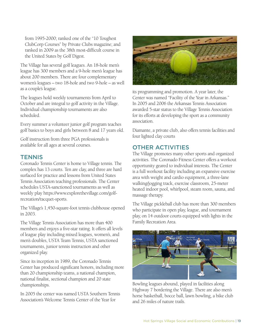from 1995-2000; ranked one of the "10 Toughest ClubCorp Courses" by Private Clubs magazine; and ranked in 2009 as the 38th most-difficult course in the United States by Golf Digest.

The Village has several golf leagues. An 18-hole men's league has 300 members and a 9-hole men's league has about 200 members. There are four complementary women's leagues – two 18-hole and two 9-hole – as well as a couple's league.

The leagues hold weekly tournaments from April to October and are integral to golf activity in the Village. Individual championship tournaments are also scheduled.

Every summer a volunteer junior golf program teaches golf basics to boys and girls between 8 and 17 years old.

Golf instruction from three PGA professionals is available for all ages at several courses.

#### **TENNIS**

Coronado Tennis Center is home to Village tennis. The complex has 13 courts. Ten are clay, and three are hard surfaced for practice and lessons from United States Tennis Association teaching professionals. The Center schedules USTA-sanctioned tournaments as well as weekly play https://www.explorethevillage.com/golfrecreation/racquet-sports.

The Village's 1,450-square-foot tennis clubhouse opened in 2003.

The Village Tennis Association has more than 400 members and enjoys a five-star rating. It offers all levels of league play including mixed leagues, women's, and men's doubles, USTA Team Tennis, USTA sanctioned tournaments, junior tennis instruction and other organized play.

Since its inception in 1989, the Coronado Tennis Center has produced significant honors, including more than 20 championship teams, a national champion, national finalist, sectional champion and 20 state championships.

In 2005 the center was named USTA Southern Tennis Association's Welcome Tennis Center of the Year for



its programming and promotion. A year later, the Center was named "Facility of the Year in Arkansas." In 2005 and 2006 the Arkansas Tennis Association awarded 5-star status to the Village Tennis Association for its efforts at developing the sport as a community association.

Diamante, a private club, also offers tennis facilities and four lighted clay courts

#### OTHER ACTIVITIES

The Village promotes many other sports and organized activities. The Coronado Fitness Center offers a workout opportunity geared to individual interests. The Center is a full workout facility including an expansive exercise area with weight and cardio equipment, a three-lane walking/jogging track, exercise classroom, 25-meter heated indoor pool, whirlpool, steam room, sauna, and massage therapy.

The Village pickleball club has more than 300 members who participate in open play, league, and tournament play, on 14 outdoor courts equipped with lights in the Family Recreation Area.



Bowling leagues abound, played in facilities along Highway 7 bordering the Village. There are also men's horse basketball, bocce ball, lawn bowling, a bike club and 26 miles of nature trails.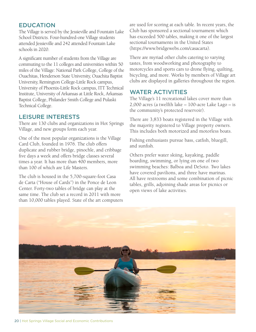#### EDUCATION

The Village is served by the Jessieville and Fountain Lake School Districts. Four-hundred-one Village students attended Jessieville and 242 attended Fountain Lake schools in 2020.

A significant number of students from the Village are commuting to the 11 colleges and universities within 50 miles of the Village: National Park College, College of the Ouachitas, Henderson State University, Ouachita Baptist University, Remington College-Little Rock campus, University of Phoenix-Little Rock campus, ITT Technical Institute, University of Arkansas at Little Rock, Arkansas Baptist College, Philander Smith College and Pulaski Technical College.

#### LEISURE INTERESTS

There are 130 clubs and organizations in Hot Springs Village, and new groups form each year.

One of the most popular organizations is the Village Card Club, founded in 1976. The club offers duplicate and rubber bridge, pinochle, and cribbage five days a week and offers bridge classes several times a year. It has more than 400 members, more than 100 of which are Life Masters.

The club is housed in the 5,700-square-foot Casa de Carta ("House of Cards") in the Ponce de Leon Center. Forty-two tables of bridge can play at the same time. The club set a record in 2011 with more than 10,000 tables played. State of the art computers are used for scoring at each table. In recent years, the Club has sponsored a sectional tournament which has exceeded 500 tables, making it one of the largest sectional tournaments in the United States (https://www.bridgewebs.com/casacarta).

There are myriad other clubs catering to varying tastes, from woodworking and photography to motorcycles and sports cars to drone flying, quilting, bicycling, and more. Works by members of Village art clubs are displayed in galleries throughout the region.

#### WATER ACTIVITIES

The Village's 11 recreational lakes cover more than 2,000 acres (a twelfth lake – 100-acre Lake Lago – is the community's protected reservoir).

There are 3,833 boats registered in the Village with the majority registered to Village property owners. This includes both motorized and motorless boats.

Fishing enthusiasts pursue bass, catfish, bluegill, and sunfish.

Others prefer water skiing, kayaking, paddle boarding, swimming, or lying on one of two swimming beaches: Balboa and DeSoto. Two lakes have covered pavilions, and three have marinas. All have restrooms and some combination of picnic tables, grills, adjoining shade areas for picnics or open views of lake activities.

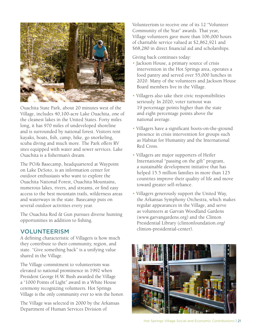

Ouachita State Park, about 20 minutes west of the Village, includes 40,100-acre Lake Ouachita, one of the cleanest lakes in the United States. Forty miles long, it has 970 miles of undeveloped shoreline and is surrounded by national forest. Visitors rent kayaks, boats, fish, camp, hike, go snorkeling, scuba diving and much more. The Park offers RV sites equipped with water and sewer services. Lake Ouachita is a fisherman's dream.

The POA's Basecamp, headquartered at Waypoint on Lake DeSoto, is an information center for outdoor enthusiasts who want to explore the Ouachita National Forest, Ouachita Mountains, numerous lakes, rivers, and streams, or find easy access to the best mountain trails, wilderness areas and waterways in the state. Basecamp puts on several outdoor activities every year.

The Ouachita Rod & Gun pursues diverse hunting opportunities in addition to fishing.

#### VOLUNTEERISM

A defining characteristic of Villagers is how much they contribute to their community, region, and state. "Give something back" is a unifying value shared in the Village.

The Village commitment to volunteerism was elevated to national prominence in 1992 when President George H.W. Bush awarded the Village a "1000 Points of Light" award in a White House ceremony recognizing volunteers. Hot Springs Village is the only community ever to win the honor.

The Village was selected in 2000 by the Arkansas Department of Human Services Division of

Volunteerism to receive one of its 12 "Volunteer Community of the Year" awards. That year, Village volunteers gave more than 106,000 hours of charitable service valued at \$2,862,921 and \$68,280 in direct financial aid and scholarships.

Giving back continues today:

- Jackson House, a primary source of crisis intervention in the Hot Springs area, operates a food pantry and served over 55,000 lunches in 2020. Many of the volunteers and Jackson House Board members live in the Village.
- Villagers also take their civic responsibilities seriously. In 2020, voter turnout was 19 percentage points higher than the state and eight percentage points above the national average.
- Villagers have a significant boots-on-the-ground presence in crisis intervention for groups such as Habitat for Humanity and the International Red Cross.
- Villagers are major supporters of Heifer International "passing on the gift" program, a sustainable development initiative that has helped 15.5 million families in more than 125 countries improve their quality of life and move toward greater self-reliance.
- Villagers generously support the United Way, the Arkansas Symphony Orchestra, which makes regular appearances in the Village, and serve as volunteers at Garvan Woodland Gardens (www.garvangardens.org) and the Clinton Presidential Library (clintonfoundation.org/ clinton-presidential-center).



Hot Springs Village Social and Economic Contributions | 21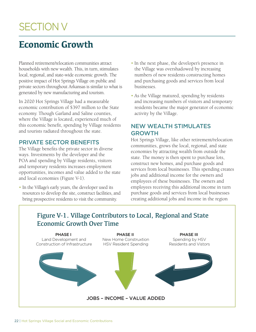## SECTION V

## **Economic Growth**

Planned retirement/relocation communities attract households with new wealth. This, in turn, stimulates local, regional, and state-wide economic growth. The positive impact of Hot Springs Village on public and private sectors throughout Arkansas is similar to what is generated by new manufacturing and tourism.

In 2020 Hot Springs Village had a measurable economic contribution of \$397 million to the State economy. Though Garland and Saline counties, where the Village is located, experienced much of this economic benefit, spending by Village residents and tourists radiated throughout the state.

#### PRIVATE SECTOR BENEFITS

The Village benefits the private sector in diverse ways. Investments by the developer and the POA and spending by Village residents, visitors and temporary residents increases employment opportunities, incomes and value added to the state and local economies (Figure V-1).

• In the Village's early years, the developer used its resources to develop the site, construct facilities, and bring prospective residents to visit the community.

- In the next phase, the developer's presence in the Village was overshadowed by increasing numbers of new residents constructing homes and purchasing goods and services from local businesses.
- As the Village matured, spending by residents and increasing numbers of visitors and temporary residents became the major generator of economic activity by the Village.

#### NEW WEALTH STIMULATES GROWTH

Hot Springs Village, like other retirement/relocation communities, grows the local, regional, and state economies by attracting wealth from outside the state. The money is then spent to purchase lots, construct new homes, and purchase goods and services from local businesses. This spending creates jobs and additional income for the owners and employees of these businesses. The owners and employees receiving this additional income in turn purchase goods and services from local businesses creating additional jobs and income in the region

#### Figure V-1. Village Contributors to Local, Regional and State Economic Growth Over Time

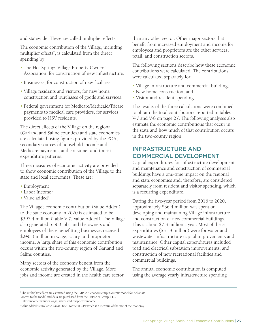and statewide. These are called multiplier effects.

The economic contribution of the Village, including multiplier effects<sup>2</sup>, is calculated from the direct spending by:

- The Hot Springs Village Property Owners' Association, for construction of new infrastructure.
- Businesses, for construction of new facilities.
- Village residents and visitors, for new home construction and purchases of goods and services.
- Federal government for Medicare/Medicaid/Tricare payments to medical care providers, for services provided to HSV residents.

The direct effects of the Village on the regional (Garland and Saline counties) and state economies are calculated using figures provided by the POA; secondary sources of household income and Medicare payments; and consumer and tourist expenditure patterns.

Three measures of economic activity are provided to show economic contribution of the Village to the state and local economies. These are:

- Employment
- Labor Income<sup>3</sup>
- Value added<sup>4</sup>

The Village's economic contribution (Value Added) to the state economy in 2020 is estimated to be \$397.4 million (Table V-7, Value Added). The Village also generated 5,500 jobs and the owners and employees of these benefitting businesses received \$240.3 million in wage, salary, and proprietor income. A large share of this economic contribution occurs within the two-county region of Garland and Saline counties.

Many sectors of the economy benefit from the economic activity generated by the Village. More jobs and income are created in the health care sector than any other sector. Other major sectors that benefit from increased employment and income for employees and proprietors are the other services, retail, and construction sectors.

The following sections describe how these economic contributions were calculated. The contributions were calculated separately for:

- Village infrastructure and commercial buildings.
- New home construction; and
- Visitor and resident spending.

The results of the three calculations were combined to obtain the total contributions reported in tables V-7 and V-8 on page 27. The following analyses also estimate the economic contributions that occur in the state and how much of that contribution occurs in the two-county region.

#### INFRASTRUCTURE AND COMMERCIAL DEVELOPMENT

Capital expenditures for infrastructure development and maintenance and construction of commercial buildings have a one-time impact on the regional and state economies and, therefore, are considered separately from resident and visitor spending, which is a recurring expenditure.

During the five-year period from 2016 to 2020, approximately \$36.4 million was spent on developing and maintaining Village infrastructure and construction of new commercial buildings. This is about \$7.3 million a year. Most of these expenditures (\$31.8 million) were for water and wastewater infrastructure capital improvements and maintenance. Other capital expenditures included road and electrical substation improvements, and construction of new recreational facilities and commercial buildings.

The annual economic contribution is computed using the average yearly infrastructure spending

<sup>2</sup> The multiplier effects are estimated using the IMPLAN economic input-output model for Arkansas.

Access to the model and data are purchased from the IMPLAN Group, LLC.

<sup>3</sup> Labor income includes wage, salary, and proprietor income.

<sup>4</sup> Value added is similar to Gross State Product (GSP) which is a measure of the size of the economy.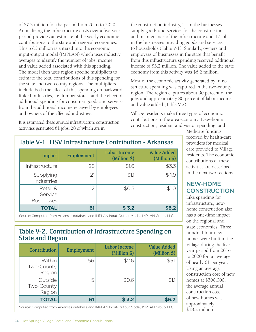of \$7.3 million for the period from 2016 to 2020. Annualizing the infrastructure costs over a five-year period provides an estimate of the yearly economic contributions to the state and regional economies. This \$7.3 million is entered into the economic input-output model (IMPLAN) which uses industry averages to identify the number of jobs, income and value added associated with this spending. The model then uses region specific multipliers to estimate the total contributions of this spending for the state and two-county regions. The multipliers include both the effect of this spending on backward linked industries, i.e. lumber stores, and the effect of additional spending for consumer goods and services from the additional income received by employees and owners of the affected industries.

It is estimated these annual infrastructure construction activities generated 61 jobs, 28 of which are in

the construction industry, 21 in the businesses supply goods and services for the construction and maintenance of the infrastructure and 12 jobs in the businesses providing goods and services to households (Table V-1). Similarly, owners and employees of businesses in the state that benefit from this infrastructure spending received additional income of \$3.2 million. The value added to the state economy from this activity was \$6.2 million.

Most of the economic activity generated by infrastructure spending was captured in the two-county region. The region captures about 90 percent of the jobs and approximately 80 percent of labor income and value added (Table V-2).

Village residents make three types of economic contributions to the area economy: New-home construction, resident and visitor spending, and

| Impact                                   | Employment | Labor Income<br>(Million \$) | <b>Value Added</b><br>(Million \$) |
|------------------------------------------|------------|------------------------------|------------------------------------|
| Infrastructure                           | 28         | \$1.6                        | \$3.3                              |
| Supplying<br>Industries                  | 21         | \$1.1                        | \$1.9                              |
| Retail &<br>Service<br><b>Businesses</b> | 12         | \$0.5                        | \$1.0                              |
| <b>TOTAL</b>                             | 61         | \$3.2                        | \$6.2                              |

#### Table V-1. HSV Infrastructure Contribution - Arkansas

Source: Computed from Arkansas database and IMPLAN Input-Output Model, IMPLAN Group, LLC.

#### Table V-2. Contribution of Infrastructure Spending on State and Region

| Within<br>56<br>\$2.6                         |            | Employment | $(Million \$ | <b>Value Added</b><br>(Million \$) |
|-----------------------------------------------|------------|------------|--------------|------------------------------------|
| Region                                        | Two-County |            |              | \$5.1                              |
| Outside<br>5<br>\$0.6<br>Two-County<br>Region |            |            |              | \$1.1                              |
| <b>TOTAL</b><br>\$3.2<br>61                   |            |            |              | \$6.2                              |

Medicare funding received by health-care providers for medical care provided to Village residents. The economic contributions of these activities are described in the next two sections.

#### NEW-HOME **CONSTRUCTION**

Like spending for infrastructure, newhome construction also has a one-time impact on the regional and state economies. Three hundred four new homes were built in the Village during the fiveyear period from 2016 to 2020 for an average of nearly 61 per year. Using an average construction cost of new homes at \$300,000, the average annual construction cost of new homes was approximately \$18.2 million.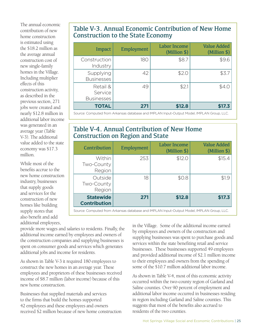The annual economic contribution of new home construction is estimated using the \$18.2 million as the average annual construction cost of new single-family homes in the Village. Including multiplier effects of this construction activity, as described in the previous section, 271 jobs were created and nearly \$12.8 million in additional labor income was generated in an average year (Table V-3). The additional value added to the state economy was \$17.3 million.

While most of the benefits accrue to the new home construction industry, businesses that supply goods and services for the construction of new homes like building supply stores that also benefit and add additional employees,

#### Table V-3. Annual Economic Contribution of New Home Construction to the State Economy

| Impact                                   | Employment | <b>Labor Income</b><br>(Million \$) | <b>Value Added</b><br>(Million \$) |
|------------------------------------------|------------|-------------------------------------|------------------------------------|
| Construction<br>Industry                 | 180        | \$8.7                               | \$9.6                              |
| Supplying<br><b>Businesses</b>           | 42         | \$2.0                               | \$3.7                              |
| Retail &<br>Service<br><b>Businesses</b> | 49         | \$2.1                               | \$4.0                              |
| <b>TOTAL</b>                             | 271        | \$12.8                              | \$17.3                             |

Source: Computed from Arkansas database and IMPLAN Input-Output Model, IMPLAN Group, LLC.

#### Table V-4. Annual Contribution of New Home Construction on Region and State

| Contribution                            | Employment | <b>Labor Income</b><br>(Million \$) | <b>Value Added</b><br>(Million \$) |
|-----------------------------------------|------------|-------------------------------------|------------------------------------|
| Within<br>Two-County<br>Region          | 253        | \$12.0                              | \$15.4                             |
| Outside<br>Two-County<br>Region         | 18         | \$0.8                               | \$1.9                              |
| <b>Statewide</b><br><b>Contribution</b> | 271        | \$12.8                              | \$17.3                             |

Source: Computed from Arkansas database and IMPLAN Input-Output Model, IMPLAN Group, LLC.

provide more wages and salaries to residents. Finally, the additional income earned by employees and owners of the construction companies and supplying businesses is spent on consumer goods and services which generates additional jobs and income for residents.

As shown in Table V-3 it required 180 employees to construct the new homes in an average year. These employees and proprietors of these businesses received income of \$8.7 million (labor income) because of this new home construction.

Businesses that supplied materials and services to the firms that build the homes supported 42 employees and these employees and owners received \$2 million because of new home construction in the Village. Some of the additional income earned by employees and owners of the construction and supplying businesses was spent to purchase goods and services within the state benefiting retail and service businesses. These businesses supported 49 employees and provided additional income of \$2.1 million income to their employees and owners from the spending of some of the \$10.7 million additional labor income.

As shown in Table V-4, most of this economic activity occurred within the two-county region of Garland and Saline counties. Over 90 percent of employment and additional labor income occurred in businesses residing in region including Garland and Saline counties. This suggests that most of the benefits also accrued to residents of the two counties.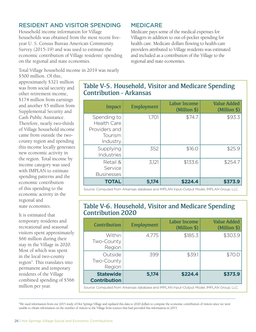#### RESIDENT AND VISITOR SPENDING

Household income information for Village households was obtained from the most recent fiveyear U. S. Census Bureau American Community Survey (2015-19) and was used to estimate the economic contribution of Village residents' spending on the regional and state economies.

#### MEDICARE

Medicare pays some of the medical expenses for Villagers in addition to out-of-pocket spending for health care. Medicare dollars flowing to health-care providers attributed to Village residents was estimated and included as a contribution of the Village to the regional and state economies.

Total Village household income in 2019 was nearly

\$500 million. Of this, approximately \$321 million was from social security and other retirement income, \$174 million from earnings and another \$5 million from Supplemental Security and Cash Public Assistance. Therefore, nearly two-thirds of Village household income came from outside the twocounty region and spending this income locally generates new economic activity in the region. Total income by income category was used with IMPLAN to estimate spending patterns and the economic contribution of this spending to the economic activity in the regional and state economies.

It is estimated that temporary residents and recreational and seasonal visitors spent approximately \$66 million during their stay in the Village in 2020. Most of which was spent in the local two-county region<sup>5</sup>. This translates into permanent and temporary residents of the Village combined spending of \$566 million per year.

#### Table V-5. Household, Visitor and Medicare Spending Contribution - Arkansas

| Impact                                                                    | Employment | <b>Labor Income</b><br>(Million \$) | <b>Value Added</b><br>(Million \$) |
|---------------------------------------------------------------------------|------------|-------------------------------------|------------------------------------|
| Spending to<br><b>Health Care</b><br>Providers and<br>Tourism<br>Industry | 1,701      | \$74.7                              | \$93.3                             |
| Supplying<br>Industries                                                   | 352        | \$16.0                              | \$25.9                             |
| Retail &<br>Service<br><b>Businesses</b>                                  | 3,121      | \$133.6                             | \$254.7                            |
| <b>TOTAL</b>                                                              | 5,174      | \$224.4                             | \$373.9                            |

Source: Computed from Arkansas database and IMPLAN Input-Output Model, IMPLAN Group, LLC.

#### Table V-6. Household, Visitor and Medicare Spending Contribution 2020

| Contribution                                                                              | Employment | <b>Labor Income</b><br>(Million \$) | <b>Value Added</b><br>(Million \$) |
|-------------------------------------------------------------------------------------------|------------|-------------------------------------|------------------------------------|
| <b>Within</b><br>Two-County<br>Region                                                     | 4,775      | \$185.3                             | \$303.9                            |
| Outside<br>Two-County<br>Region                                                           | 399        | \$39.1                              | \$70.0                             |
| <b>Statewide</b><br><b>Contribution</b>                                                   | 5,174      | \$224.4                             | \$373.9                            |
| Source: Computed from Arkansas database and IMPLAN Input-Output Model, IMPLAN Group, LLC. |            |                                     |                                    |

5 We used information from our 2015 study of Hot Springs Village and updated this data to 2020 dollars to compute the economic contribution of visitors since we were unable to obtain information on the number of visitors to the Village from sources that had provided this information in 2015.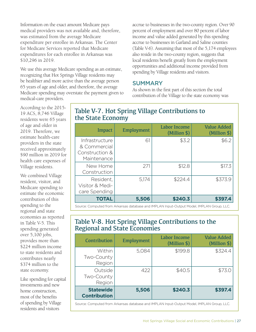Information on the exact amount Medicare pays medical providers was not available and, therefore, was estimated from the average Medicare expenditure per enrollee in Arkansas. The Center for Medicare Services reported that Medicare expenditures for each enrollee in Arkansas was \$10,296 in 2019.

We use this average Medicare spending as an estimate, recognizing that Hot Springs Village residents may be healthier and more active than the average person 65 years of age and older, and therefore, the average Medicare spending may overstate the payment given to medical-care providers.

accrue to businesses in the two-county region. Over 90 percent of employment and over 80 percent of labor income and value added generated by this spending accrue to businesses in Garland and Saline counties (Table V-6). Assuming that most of the 5,174 employees also reside in the two-county region, suggests that local residents benefit greatly from the employment opportunities and additional income provided from spending by Village residents and visitors.

#### SUMMARY

As shown in the first part of this section the total contribution of the Village to the state economy was

According to the 2015- 19 ACS, 8,746 Village residents were 65 years of age and older in 2019. Therefore, we estimate health-care providers in the state received approximately \$90 million in 2019 for health care expenses of Village residents.

We combined Village resident, visitor, and Medicare spending to estimate the economic contribution of this spending to the regional and state economies as reported in Table V-5. This spending generated over 5,100 jobs, provides more than \$224 million income to state residents and contributes nearly \$374 million to the state economy.

Like spending for capital investments and new home construction, most of the benefits of spending by Village residents and visitors

#### Table V-7. Hot Spring Village Contributions to the State Economy

| Impact                                                          | Employment | Labor Income<br>(Million \$) | <b>Value Added</b><br>(Million \$) |
|-----------------------------------------------------------------|------------|------------------------------|------------------------------------|
| Infrastructure<br>& Commercial<br>Construction &<br>Maintenance | 61         | \$3.2                        | \$6.2                              |
| New Home<br>Construction                                        | 271        | \$12.8                       | \$17.3                             |
| Resident,<br>Visitor & Medi-<br>care Spending                   | 5,174      | \$224.4                      | \$373.9                            |
| <b>TOTAL</b>                                                    | 5,506      | \$240.3                      | \$397.4                            |

Source: Computed from Arkansas database and IMPLAN Input-Output Model, IMPLAN Group, LLC.

#### Table V-8. Hot Spring Village Contributions to the Regional and State Economies

| Contribution                            | Employment | Labor Income<br>(Million \$) | <b>Value Added</b><br>$(Million \$ |
|-----------------------------------------|------------|------------------------------|------------------------------------|
| <b>Within</b><br>Two-County<br>Region   | 5,084      | \$199.8                      | \$324.4                            |
| Outside<br>Two-County<br>Region         | 422        | \$40.5                       | \$73.0                             |
| <b>Statewide</b><br><b>Contribution</b> | 5,506      | \$240.3                      | \$397.4                            |

Source: Computed from Arkansas database and IMPLAN Input-Output Model, IMPLAN Group, LLC.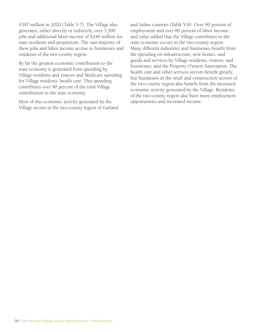\$397 million in 2020 (Table V-7). The Village also generates, either directly or indirectly, over 5,500 jobs and additional labor income of \$240 million for state residents and proprietors. The vast majority of these jobs and labor income accrue to businesses and residents of the two-county region.

By far the greatest economic contribution to the state economy is generated from spending by Village residents and visitors and Medicare spending for Village residents' health care. This spending contributes over 90 percent of the total Village contribution to the state economy.

Most of this economic activity generated by the Village occurs in the two-county region of Garland and Saline counties (Table V-8). Over 90 percent of employment and over 80 percent of labor income and value added that the Village contributes to the state economy occurs in the two-county region. Many different industries and businesses benefit from the spending on infrastructure, new homes, and goods and services by Village residents, visitors, and businesses, and the Property Owners Association. The health care and other services sectors benefit greatly, but businesses in the retail and construction sectors of the two-county region also benefit from the increased economic activity generated by the Village. Residents of the two-county region also have more employment opportunities and increased income.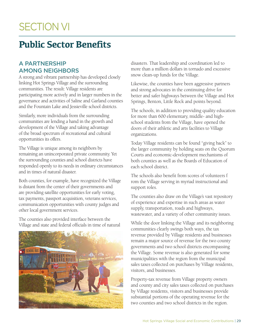## SECTION VI

## **Public Sector Benefits**

#### A PARTNERSHIP AMONG NEIGHBORS

A strong and vibrant partnership has developed closely linking Hot Springs Village and the surrounding communities. The result: Village residents are participating more actively and in larger numbers in the governance and activities of Saline and Garland counties and the Fountain Lake and Jessieville school districts.

Similarly, more individuals from the surrounding communities are lending a hand in the growth and development of the Village and taking advantage of the broad spectrum of recreational and cultural opportunities its offers.

The Village is unique among its neighbors by remaining an unincorporated private community. Yet the surrounding counties and school districts have responded openly to its needs in ordinary circumstances and in times of natural disaster.

Both counties, for example, have recognized the Village is distant from the center of their governments and are providing satellite opportunities for early voting, tax payments, passport acquisition, veterans services, communication opportunities with county judges and other local government services.

The counties also provided interface between the Village and state and federal officials in time of natural



disasters. That leadership and coordination led to more than a million dollars in tornado and excessive snow clean-up funds for the Village.

Likewise, the counties have been aggressive partners and strong advocates in the continuing drive for better and safer highways between the Village and Hot Springs, Benton, Little Rock and points beyond.

The schools, in addition to providing quality education for more than 600 elementary, middle- and highschool students from the Village, have opened the doors of their athletic and arts facilities to Village organizations.

Today Village residents can be found "giving back" to the larger community by holding seats on the Quorum Courts and economic-development mechanisms of both counties as well as the Boards of Education of each school district.

The schools also benefit from scores of volunteers f rom the Village serving in myriad instructional and support roles.

The counties also draw on the Village's vast repository of experience and expertise in such areas as water supply, transportation, roads and highways, wastewater, and a variety of other community issues.

While the door linking the Village and its neighboring communities clearly swings both ways, the tax revenue provided by Village residents and businesses remain a major source of revenue for the two county governments and two school districts encompassing the Village. Some revenue is also generated for some municipalities with the region from the municipal sales taxes collected on purchases by Village residents, visitors, and businesses.

Property-tax revenue from Village property owners and county and city sales taxes collected on purchases by Village residents, visitors and businesses provide substantial portions of the operating revenue for the two counties and two school districts in the region.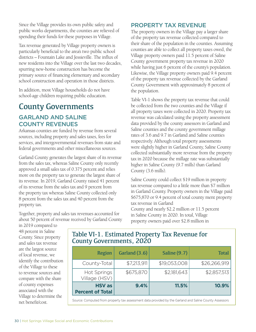Since the Village provides its own public safety and public works departments, the counties are relieved of spending their funds for these purposes in Village.

Tax revenue generated by Village property owners is particularly beneficial to the area's two public school districts – Fountain Lake and Jessieville. The influx of new residents into the Village over the last two decades, spurring new-home construction has become the primary source of financing elementary and secondary school construction and operation in those districts.

In addition, most Village households do not have school-age children requiring public education.

#### County Governments

#### GARLAND AND SALINE COUNTY REVENUES

Arkansas counties are funded by revenue from several sources, including property and sales taxes, fees for services, and intergovernmental revenues from state and federal governments and other miscellaneous sources.

Garland County generates the largest share of its revenue from the sales tax, whereas Saline County only recently approved a small sales tax of 0.375 percent and relies more on the property tax to generate the largest share of its revenue. In 2019, Garland County raised 41 percent of its revenue from the sales tax and 9 percent from the property tax whereas Saline County collected only 8 percent from the sales tax and 40 percent from the property tax.

Together, property and sales tax revenues accounted for about 50 percent of revenue received by Garland County

#### PROPERTY TAX REVENUE

The property owners in the Village pay a larger share of the property tax revenue collected compared to their share of the population in the counties. Assuming counties are able to collect all property taxes owed, the Village property owners paid 11.5 percent of Saline County government property tax revenue in 2020 while having just 6 percent of the county's population. Likewise, the Village property owners paid 9.4 percent of the property tax revenue collected by the Garland County Government with approximately 8 percent of the population.

Table VI-1 shows the property tax revenue that could be collected from the two counties and the Village if all property taxes were collected in 2020. Property tax revenue was calculated using the property assessment data provided by the county assessors in Garland and Saline counties and the county government millage rates of 3.6 and 9.7 in Garland and Saline counties respectively. Although total property assessments were slightly higher in Garland County, Saline County collected substantially more revenue from the property tax in 2020 because the millage rate was substantially higher in Saline County (9.7 mills) than Garland County (3.6 mills).

Saline County could collect \$19 million in property tax revenue compared to a little more than \$7 million in Garland County. Property owners in the Village paid \$675,870 or 9.4 percent of total county ment property tax revenue in Garland County and nearly \$2.2 million or 11.5 percent in Saline County in 2020. In total, Village property owners paid over \$2.8 million in

in 2019 compared to 48 percent in Saline County. Since property and sales tax revenue are the largest source of local revenue, we identify the contribution of the Village to these to revenue sources and compare with the share of county expenses associated with the Village to determine the net benefit/cost.

#### Table VI-1. Estimated Property Tax Revenue for County Governments, 2020

| Region                                   | Garland (3.6) | <b>Saline (9.7)</b> | <b>Total</b> |
|------------------------------------------|---------------|---------------------|--------------|
| County-Total                             | \$7,213,911   | \$19,053,008        | \$26,266,919 |
| <b>Hot Springs</b><br>Village (HSV)      | \$675,870     | \$2,181,643         | \$2,857,513  |
| <b>HSV</b> as<br><b>Percent of Total</b> | 9.4%          | 11.5%               | 10.9%        |

Source: Computed from property tax assessment data provided by the Garland and Saline County Assessors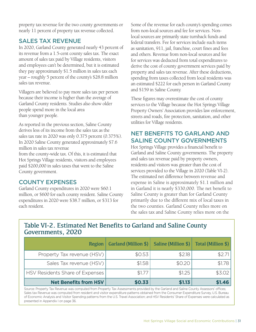property tax revenue for the two county governments or nearly 11 percent of property tax revenue collected.

#### SALES TAX REVENUE

In 2020, Garland County generated nearly 43 percent of its revenue from a 1.5-cent county sales tax. The exact amount of sales tax paid by Village residents, visitors and employees can't be determined, but it is estimated they pay approximately \$1.5 million in sales tax each year – roughly 5 percent of the county's \$28.8 million sales tax revenue.

Villagers are believed to pay more sales tax per person because their income is higher than the average of Garland County residents. Studies also show older people spend more in the local area than younger people.

As reported in the previous section, Saline County derives less of its income from the sales tax as the sales tax rate in 2020 was only 0.375 percent (0.375%). In 2020 Saline County generated approximately \$7.6 million in sales tax revenue

from the county-wide tax. Of this, it is estimated that Hot Springs Village residents, visitors and employees paid \$200,000 in sales taxes that went to the Saline County government.

#### COUNTY EXPENSES

Garland County expenditures in 2020 were \$60.1 million, or \$600 for each county resident. Saline County expenditures in 2020 were \$38.7 million, or \$313 for each resident.

Some of the revenue for each county's spending comes from non-local sources and fee for services. Nonlocal sources are primarily state turnback funds and federal transfers. Fee for services include such items as sanitation, 911, jail, franchise, court fines and fees and others. Revenue from non-local sources and fee for services was deducted from total expenditures to derive the cost of county government services paid by property and sales tax revenue. After these deductions, spending from taxes collected from local residents was an estimated \$222 for each person in Garland County and \$159 in Saline County.

These figures may overestimate the cost of county services to the Village because the Hot Springs Village Property Owners' Association provides law enforcement, streets and roads, fire protection, sanitation, and other utilities for Village residents.

#### NET BENEFITS TO GARLAND AND SALINE COUNTY GOVERNMENTS

Hot Springs Village provides a financial benefit to Garland and Saline County governments. The property and sales tax revenue paid by property owners, residents and visitors was greater than the cost of services provided to the Village in 2020 (Table VI-2). The estimated net difference between revenue and expense in Saline is approximately \$1.1 million and in Garland it is nearly \$330,000. The net benefit to Saline County is greater than for Garland County primarily due to the different mix of local taxes in the two counties. Garland County relies more on the sales tax and Saline County relies more on the

#### Table VI-2. Estimated Net Benefits to Garland and Saline County Governments, 2020

| Region                          | Garland (Million $\frac{1}{2}$ ) | Saline (Million \$) | Total (Million \$) |
|---------------------------------|----------------------------------|---------------------|--------------------|
| Property Tax revenue (HSV)      | \$0.53                           | \$2.18              | \$2.71             |
| Sales Tax revenue (HSV)         | \$1.58                           | \$0.20              | \$1.78             |
| HSV Residents Share of Expenses | \$1.77                           | \$1.25              | \$3.02             |
| <b>Net Benefits from HSV</b>    | \$0.33                           | \$1.13              | \$1.46             |

Source: Property Tax Revenue was computed from Property Tax Assessments provided by the Garland and Saline County Assessors' offices; Sales tax Revenue was computed from resident and visitor expenditure patterns obtained from the Consumer Expenditure Survey, U.S. Bureau of Economic Analysis and Visitor Spending patterns from the U.S. Travel Association; and HSV Residents' Share of Expenses were calculated as presented in Appendix I on page 36.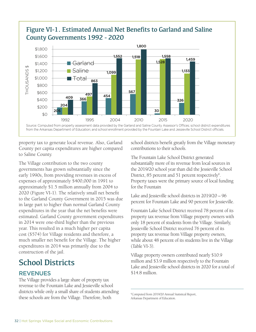#### Figure VI-1. Estimated Annual Net Benefits to Garland and Saline County Governments 1992 - 2020



property tax to generate local revenue. Also, Garland County per capita expenditures are higher compared to Saline County.

The Village contribution to the two county governments has grown substantially since the early 1990s, from providing revenues in excess of expenses of approximately \$400,000 in 1991 to approximately \$1.5 million annually from 2004 to 2020 (Figure VI-1). The relatively small net benefit to the Garland County Government in 2015 was due in large part to higher than normal Garland County expenditures in the year that the net benefits were estimated. Garland County government expenditures in 2014 were one-third higher than the previous year. This resulted in a much higher per capita cost (\$574) for Village residents and therefore, a much smaller net benefit for the Village. The higher expenditures in 2014 was primarily due to the construction of the jail.

## School Districts

#### **REVENUES**

The Village provides a large share of property tax revenue to the Fountain Lake and Jessieville school districts while only a small share of students attending these schools are from the Village. Therefore, both

school districts benefit greatly from the Village monetary contributions to their schools.

The Fountain Lake School District generated substantially more of its revenue from local sources in the 2019/20 school year than did the Jessieville School District, 85 percent and 51 percent respectively<sup>6</sup>. Property taxes were the primary source of local funding for the Fountain

Lake and Jessieville school districts in 2019/20 – 96 percent for Fountain Lake and 90 percent for Jessieville.

Fountain Lake School District received 78 percent of its property tax revenue from Village property owners with only 18 percent of students from the Village. Similarly, Jessieville School District received 76 percent of its property tax revenue from Village property owners, while about 48 percent of its students live in the Village (Table VI-3).

Village property owners contributed nearly \$10.9 million and \$3.9 million respectively to the Fountain Lake and Jessieville school districts in 2020 for a total of \$14.8 million.

6 Computed from 2019/20 Annual Statistical Report, Arkansas Department of Education.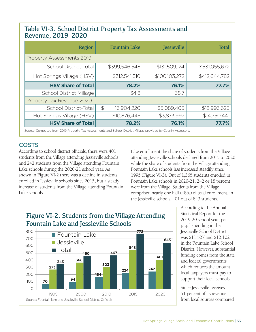#### Table VI-3. School District Property Tax Assessments and Revenue, 2019\_2020

| Region                                                                                                        |               | <b>Fountain Lake</b> | <b>Jessieville</b> | <b>Total</b>  |
|---------------------------------------------------------------------------------------------------------------|---------------|----------------------|--------------------|---------------|
| Property Assessments 2019                                                                                     |               |                      |                    |               |
| School District-Total                                                                                         |               | \$399,546,548        | \$131,509,124      | \$531,055,672 |
| Hot Springs Village (HSV)                                                                                     |               | \$312,541,510        | \$100,103,272      | \$412,644,782 |
| <b>HSV Share of Total</b>                                                                                     |               | 78.2%                | 76.1%              | 77.7%         |
| <b>School District Millage</b>                                                                                |               | 34.8                 | 38.7               |               |
| Property Tax Revenue 2020                                                                                     |               |                      |                    |               |
| School District-Total                                                                                         | $\frac{1}{2}$ | 13,904,220           | \$5,089,403        | \$18,993,623  |
| Hot Springs Village (HSV)                                                                                     |               | \$10,876,445         | \$3,873,997        | \$14,750,441  |
| <b>HSV Share of Total</b>                                                                                     |               | 78.2%                | 76.1%              | 77.7%         |
| Source: Computed from 2019 Property Tax Assessments and School District Millage provided by County Assessors. |               |                      |                    |               |

#### **COSTS**

According to school district officials, there were 401 students from the Village attending Jessieville schools and 242 students from the Village attending Fountain Lake schools during the 2020-21 school year. As shown in Figure VI-2 there was a decline in students enrolled in Jessieville schools since 2015, but a steady increase of students from the Village attending Fountain Lake schools.

Like enrollment the share of students from the Village attending Jessieville schools declined from 2015 to 2020 while the share of students from the Village attending Fountain Lake schools has increased steadily since 1995 (Figure VI-3). Out of 1,365 students enrolled in Fountain Lake schools in 2020-21, 242 or 18 percent were from the Village. Students from the Village comprised nearly one half (48%) of total enrollment, in the Jessieville schools, 401 out of 843 students.



According to the Annual Statistical Report for the 2019-20 school year, perpupil spending in the Jessieville School District was \$11,527 and \$12,102 in the Fountain Lake School District. However, substantial funding comes from the state and federal governments which reduces the amount local taxpayers must pay to support their local schools.

Since Jessieville receives 51 percent of its revenue from local sources compared

#### Figure VI-2. Students from the Village Attending Fountain Lake and Jessieville Schools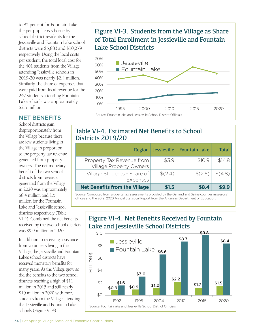to 85 percent for Fountain Lake, the per pupil costs borne by school district residents for the Jessieville and Fountain Lake school districts were \$5,883 and \$10,279 respectively. Using the local costs per student, the total local cost for the 401 students from the Village attending Jessieville schools in 2019-20 was nearly \$2.4 million. Similarly, the share of expenses that were paid from local revenue for the 242 students attending Fountain Lake schools was approximately \$2.5 million.

#### NET BENEFITS

School districts gain disproportionately from the Village because there are few students living in the Village in proportion to the property tax revenue generated from property owners. The net monetary benefit of the two school districts from revenue generated from the Village in 2020 was approximately \$8.4 million and 1.5 million for the Fountain Lake and Jessieville school districts respectively (Table VI-4). Combined the net benefits received by the two school districts was \$9.9 million in 2020.

In addition to receiving assistance from volunteers living in the Village, the Jessieville and Fountain Lakes school districts have received monetary benefits for many years. As the Village grew so did the benefits to the two school districts reaching a high of \$11 million in 2015 and still nearly \$10 million in 2020 with more students from the Village attending the Jessieville and Fountain Lake schools (Figure VI-4).

#### Figure VI-3. Students from the Village as Share of Total Enrollment in Jessieville and Fountain Lake School Districts



#### Table VI-4. Estimated Net Benefits to School Districts 2019/20

| <b>Region</b>                                               | Jessieville | <b>Fountain Lake</b> | <b>Total</b> |
|-------------------------------------------------------------|-------------|----------------------|--------------|
| Property Tax Revenue from<br><b>Village Property Owners</b> | \$3.9       | \$10.9               | \$14.8       |
| Village Students - Share of<br><b>Expenses</b>              | \$(2,4)     | \$(2.5)              | \$(4.8)      |
| <b>Net Benefits from the Village</b>                        | \$1.5       | \$8.4                |              |

Source: Computed from property tax assessments provided by the Garland and Saline counties assessors' offices and the 2019\_2020 Annual Statistical Report from the Arkansas Department of Education.

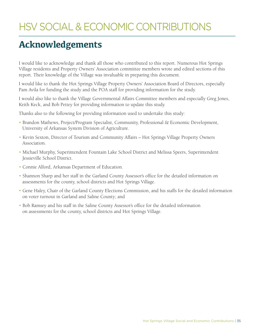## HSV SOCIAL & ECONOMIC CONTRIBUTIONS

## **Acknowledgements**

I would like to acknowledge and thank all those who contributed to this report. Numerous Hot Springs Village residents and Property Owners' Association committee members wrote and edited sections of this report. Their knowledge of the Village was invaluable in preparing this document.

I would like to thank the Hot Springs Village Property Owners' Association Board of Directors, especially Pam Avila for funding the study and the POA staff for providing information for the study.

I would also like to thank the Village Governmental Affairs Committee members and especially Greg Jones, Keith Keck, and Bob Pettey for providing information to update this study.

Thanks also to the following for providing information used to undertake this study:

- Brandon Mathews, Project/Program Specialist, Community, Professional & Economic Development, University of Arkansas System Division of Agriculture.
- Kevin Sexton, Director of Tourism and Community Affairs Hot Springs Village Property Owners Association.
- Michael Murphy, Superintendent Fountain Lake School District and Melissa Speers, Superintendent Jessieville School District.
- Connie Alford, Arkansas Department of Education.
- Shannon Sharp and her staff in the Garland County Assessor's office for the detailed information on assessments for the county, school districts and Hot Springs Village.
- Gene Haley, Chair of the Garland County Elections Commission, and his staffs for the detailed information on voter turnout in Garland and Saline County; and
- Bob Ramsey and his staff in the Saline County Assessor's office for the detailed information on assessments for the county, school districts and Hot Springs Village.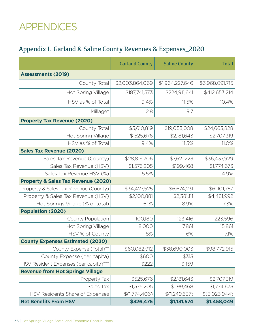## APPENDICES

### Appendix I. Garland & Saline County Revenues & Expenses\_2020

|                                                | <b>Garland County</b> | <b>Saline County</b> | <b>Total</b>    |  |
|------------------------------------------------|-----------------------|----------------------|-----------------|--|
| <b>Assessments (2019)</b>                      |                       |                      |                 |  |
| County Total                                   | \$2,003,864,069       | \$1,964,227,646      | \$3,968,091,715 |  |
| <b>Hot Spring Village</b>                      | \$187,741,573         | \$224,911,641        | \$412,653,214   |  |
| HSV as % of Total                              | 9.4%                  | 11.5%                | 10.4%           |  |
| Millage*                                       | 2.8                   | 9.7                  |                 |  |
| <b>Property Tax Revenue (2020)</b>             |                       |                      |                 |  |
| County Total                                   | \$5,610,819           | \$19,053,008         | \$24,663,828    |  |
| Hot Spring Village                             | \$525,676             | \$2,181,643          | \$2,707,319     |  |
| HSV as % of Total                              | 9.4%                  | 11.5%                | 11.0%           |  |
| <b>Sales Tax Revenue (2020)</b>                |                       |                      |                 |  |
| Sales Tax Revenue (County)                     | \$28,816,706          | \$7,621,223          | \$36,437,929    |  |
| Sales Tax Revenue (HSV)                        | \$1,575,205           | \$199,468            | \$1,774,673     |  |
| Sales Tax Revenue HSV (%)                      | 5.5%                  |                      | 4.9%            |  |
| <b>Property &amp; Sales Tax Revenue (2020)</b> |                       |                      |                 |  |
| Property & Sales Tax Revenue (County)          | \$34,427,525          | \$6,674,231          | \$61,101,757    |  |
| Property & Sales Tax Revenue (HSV)             | \$2,100,881           | \$2,381,111          | \$4,481,992     |  |
| Hot Springs Village (% of total)               | 6.1%                  | 8.9%                 | 7.3%            |  |
| <b>Population (2020)</b>                       |                       |                      |                 |  |
| County Population                              | 100,180               | 123,416              | 223,596         |  |
| Hot Spring Village                             | 8,000                 | 7,861                | 15,861          |  |
| HSV % of County                                | 8%                    | 6%                   | 7.1%            |  |
| <b>County Expenses Estimated (2020)</b>        |                       |                      |                 |  |
| County Expense (Total)**                       | \$60,082,912          | \$38,690,003         | \$98,772,915    |  |
| County Expense (per capita)                    | \$600                 | \$313                |                 |  |
| HSV Resident Expenses (per capita)***          | \$222                 | \$159                |                 |  |
| <b>Revenue from Hot Springs Village</b>        |                       |                      |                 |  |
| Property Tax                                   | \$525,676             | \$2,181,643          | \$2,707,319     |  |
| Sales Tax                                      | \$1,575,205           | \$199,468            | \$1,774,673     |  |
| HSV Residents Share of Expenses                | \$(1,774,406)         | \$(1,249,537)        | \$(3,023,944)   |  |
| <b>Net Benefits From HSV</b>                   | \$326,475             | \$1,131,574          | \$1,458,049     |  |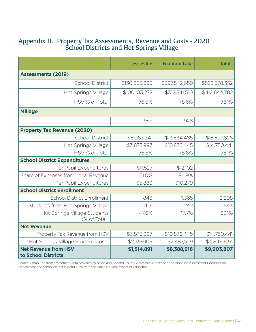#### Appendix II. Property Tax Assessments, Revenue and Costs - 2020 School Districts and Hot Springs Village

|                                                    | Jessieville   | <b>Fountain Lake</b> | <b>Totals</b> |
|----------------------------------------------------|---------------|----------------------|---------------|
| <b>Assessments (2019)</b>                          |               |                      |               |
| <b>School District</b>                             | \$130,835,693 | \$397,542,659        | \$528,378,352 |
| <b>Hot Springs Village</b>                         | \$100,103,272 | \$312,541,510        | \$412,644,782 |
| HSV % of Total                                     | 76.5%         | 78.6%                | 78.1%         |
| <b>Millage</b>                                     |               |                      |               |
|                                                    | 38.7          | 34.8                 |               |
| <b>Property Tax Revenue (2020)</b>                 |               |                      |               |
| <b>School District</b>                             | \$5,063,341   | \$13,834,485         | \$18,897,826  |
| Hot Springs Village                                | \$3,873,997   | \$10,876,445         | \$14,750,441  |
| HSV % of Total                                     | 76.5%         | 78.6%                | 78.1%         |
| <b>School District Expenditures</b>                |               |                      |               |
| Per Pupil Expenditures                             | \$11,527      | \$12,102             |               |
| Share of Expenses from Local Revenue               | 51.0%         | 84.9%                |               |
| Per Pupil Expenditures                             | \$5,883       | \$10,279             |               |
| <b>School District Enrollment</b>                  |               |                      |               |
| <b>School District Enrollment</b>                  | 843           | 1,365                | 2,208         |
| Students from Hot Springs Village                  | 401           | 242                  | 643           |
| Hot Springs Village Students<br>(% of Total)       | 47.6%         | 17.7%                | 29.1%         |
| <b>Net Revenue</b>                                 |               |                      |               |
| Property Tax Revenue from HSV                      | \$3,873,997   | \$10,876,445         | \$14,750,441  |
| Hot Springs Village Student Costs                  | \$2,359,105   | \$2,487,529          | \$4,846,634   |
| <b>Net Revenue from HSV</b><br>to School Districts | \$1,514,891   | \$8,388,916          | \$9,903,807   |

Source: Computed from assessment data provided by Saline and Garland County Assessors' Offices and the Arkansas Assessment Coordination Department and school district expenditures from the Arkansas Department of Education.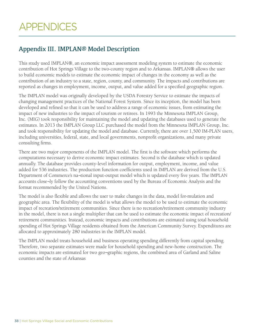#### Appendix III. IMPLAN® Model Description

This study used IMPLAN®, an economic impact assessment modeling system to estimate the economic contribution of Hot Springs Village to the two-county region and to Arkansas. IMPLAN® allows the user to build economic models to estimate the economic impact of changes in the economy as well as the contribution of an industry to a state, region, county, and community. The impacts and contributions are reported as changes in employment, income, output, and value added for a specified geographic region.

The IMPLAN model was originally developed by the USDA Forestry Service to estimate the impacts of changing management practices of the National Forest System. Since its inception, the model has been developed and refined so that it can be used to address a range of economic issues, from estimating the impact of new industries to the impact of tourism or retirees. In 1993 the Minnesota IMPLAN Group, Inc. (MIG) took responsibility for maintaining the model and updating the databases used to generate the estimates. In 2013 the IMPLAN Group LLC purchased the model from the Minnesota IMPLAN Group, Inc. and took responsibility for updating the model and database. Currently, there are over 1,500 IM-PLAN users, including universities, federal, state, and local governments, nonprofit organizations, and many private consulting firms.

There are two major components of the IMPLAN model. The first is the software which performs the computations necessary to derive economic impact estimates. Second is the database which is updated annually. The database provides county-level information for output, employment, income, and value added for 536 industries. The production function coefficients used in IMPLAN are derived from the U.S. Department of Commerce's na¬tional input-output model which is updated every five years. The IMPLAN accounts close¬ly follow the accounting conventions used by the Bureau of Economic Analysis and the format recommended by the United Nations.

The model is also flexible and allows the user to make changes in the data, model for-mulation and geographic area. The flexibility of the model is what allows the model to be used to estimate the economic impact of recreation/retirement communities. Since there is no recreation/retirement community industry in the model, there is not a single multiplier that can be used to estimate the economic impact of recreation/ retirement communities. Instead, economic impacts and contributions are estimated using total household spending of Hot Springs Village residents obtained from the American Community Survey. Expenditures are allocated to approximately 280 industries in the IMPLAN model.

The IMPLAN model treats household and business operating spending differently from capital spending. Therefore, two separate estimates were made for household spending and new-home construction. The economic impacts are estimated for two geo¬graphic regions, the combined area of Garland and Saline counties and the state of Arkansas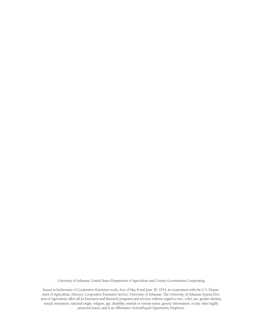University of Arkansas, United States Department of Agriculture and County Governments Cooperating

Issued in furtherance of Cooperative Extension work, Acts of May 8 and June 30, 1914, in cooperation with the U.S. Department of Agriculture, Director, Cooperative Extension Service, University of Arkansas. The University of Arkansas System Division of Agriculture offers all its Extension and Research programs and services without regard to race, color, sex, gender identity, sexual orientation, national origin, religion, age, disability, marital or veteran status, genetic information, or any other legally protected status, and is an Affirmative Action/Equal Opportunity Employer.